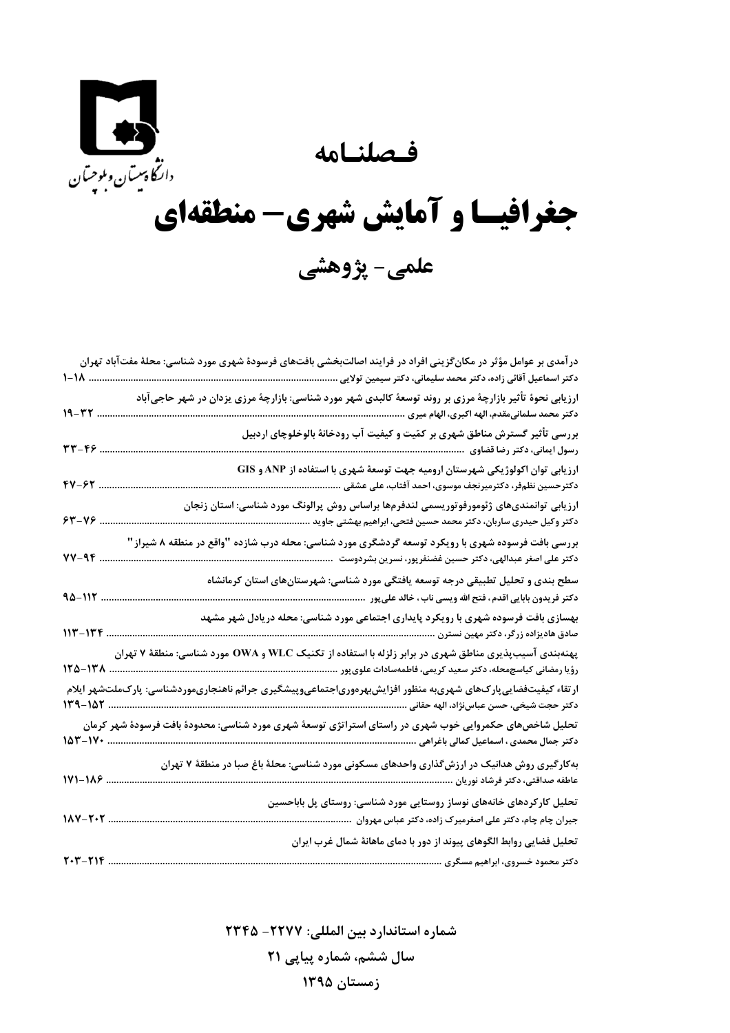فصلنامه

E دانگاهیت<sub>ان وبلوچسان<br>دانگاهیتان وبلوچسان</sub>

## جغرافیسا و آمایش شهری- منطقهای علمي- پژوهشي

| در آمدی بر عوامل مؤثر در مکانگزینی افراد در فرایند اصالتبخشی بافتهای فرسودهٔ شهری مورد شناسی: محلهٔ مفتآباد تهران                                           |             |
|-------------------------------------------------------------------------------------------------------------------------------------------------------------|-------------|
| دكتر اسماعيل آقائى زاده، دكتر محمد سليمانى، دكتر سيمين تولايى                                                                                               | ۱۸–۱        |
| ارزیابی نحوهٔ تأثیر بازارچهٔ مرزی بر روند توسعهٔ کالبدی شهر مورد شناسی: بازارچهٔ مرزی یزدان در شهر حاجیآباد                                                 | 19-32       |
| بررسی تأثیر گسترش مناطق شهری بر کمّیت و کیفیت آب رودخانهٔ بالوخلوچای اردبیل<br>رسول ایمانی، دکتر رضا قضاوی                                                  | . ٢٣-۴۶     |
| ارزیابی توان اکولوژیکی شهرستان ارومیه جهت توسعهٔ شهری با استفاده از ANP و GIS<br>FV-97<br>دکترحسین نظمفر، دکترمیرنجف موسوی، احمد آفتاب، علی عشقی            |             |
| ارزیابی توانمندیهای ژئومورفوتوریسمی لندفرمها براساس روش پرالونگ مورد شناسی: استان زنجان<br>دکتر وکیل حیدری ساربان، دکتر محمد حسین فتحی، ابراهیم بهشتی جاوید | $84 - 18$   |
| بررسی بافت فرسوده شهری با رویکرد توسعه گردشگری مورد شناسی: محله درب شازده "واقع در منطقه ۸ شیراز"                                                           | 74-17       |
| سطح بندی و تحلیل تطبیقی درجه توسعه یافتگی مورد شناسی: شهرستانهای استان کرمانشاه                                                                             | 90-112.     |
| بهسازی بافت فرسوده شهری با رویکرد پایداری اجتماعی مورد شناسی: محله دریادل شهر مشهد                                                                          | $117 - 177$ |
|                                                                                                                                                             | 125-128     |
| $119 - 107$                                                                                                                                                 |             |
| <br>دکتر جمال محمدی ، اسماعیل کمالی باغراهی                                                                                                                 | $107 - 11$  |
| بهکارگیری روش هدانیک در ارزشگذاری واحدهای مسکونی مورد شناسی: محلهٔ باغ صبا در منطقهٔ ۷ تهران<br>عاطفه صداقتی، دکتر فرشاد نوریان                             | $1Y1 - 119$ |
| تحلیل کارکردهای خانههای نوساز روستایی مورد شناسی: روستای پل باباحسین<br>$11 - 7.7$<br>جیران چام چام، دکتر علی اصغرمیرک زاده، دکتر عباس مهروان               |             |
| تحلیل فضایی روابط الگوهای پیوند از دور با دمای ماهانهٔ شمال غرب ایران<br>T.T-TIF                                                                            |             |
| دکتر محمود خسروی، ابراهیم مسگری                                                                                                                             |             |

شماره استاندارد بين المللي: ٢٣٢٧- ٢٣٤٥ سال ششم، شماره پیاپی ۲۱ زمستان ۱۳۹۵